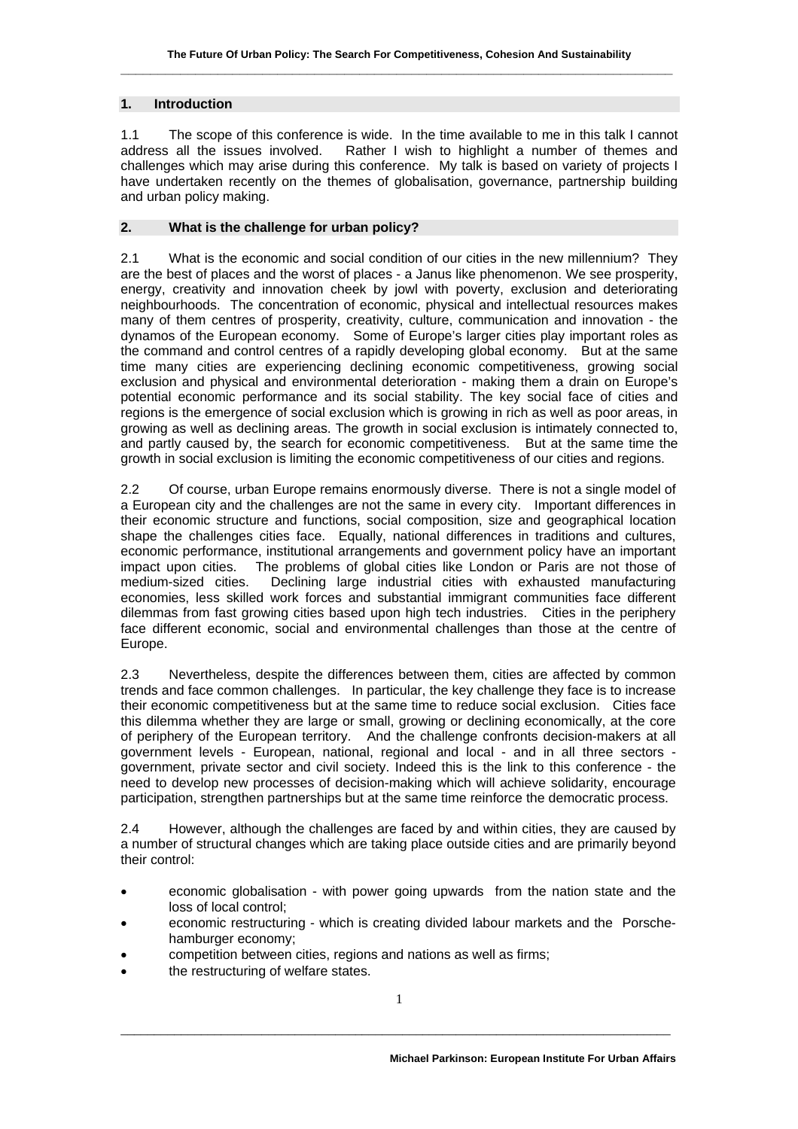## **1. Introduction**

1.1 The scope of this conference is wide. In the time available to me in this talk I cannot address all the issues involved. Rather I wish to highlight a number of themes and challenges which may arise during this conference. My talk is based on variety of projects I have undertaken recently on the themes of globalisation, governance, partnership building and urban policy making.

## **2. What is the challenge for urban policy?**

2.1 What is the economic and social condition of our cities in the new millennium? They are the best of places and the worst of places - a Janus like phenomenon. We see prosperity, energy, creativity and innovation cheek by jowl with poverty, exclusion and deteriorating neighbourhoods. The concentration of economic, physical and intellectual resources makes many of them centres of prosperity, creativity, culture, communication and innovation - the dynamos of the European economy. Some of Europe's larger cities play important roles as the command and control centres of a rapidly developing global economy. But at the same time many cities are experiencing declining economic competitiveness, growing social exclusion and physical and environmental deterioration - making them a drain on Europe's potential economic performance and its social stability. The key social face of cities and regions is the emergence of social exclusion which is growing in rich as well as poor areas, in growing as well as declining areas. The growth in social exclusion is intimately connected to, and partly caused by, the search for economic competitiveness. But at the same time the growth in social exclusion is limiting the economic competitiveness of our cities and regions.

2.2 Of course, urban Europe remains enormously diverse. There is not a single model of a European city and the challenges are not the same in every city. Important differences in their economic structure and functions, social composition, size and geographical location shape the challenges cities face. Equally, national differences in traditions and cultures, economic performance, institutional arrangements and government policy have an important impact upon cities. The problems of global cities like London or Paris are not those of medium-sized cities. Declining large industrial cities with exhausted manufacturing economies, less skilled work forces and substantial immigrant communities face different dilemmas from fast growing cities based upon high tech industries. Cities in the periphery face different economic, social and environmental challenges than those at the centre of Europe.

2.3 Nevertheless, despite the differences between them, cities are affected by common trends and face common challenges. In particular, the key challenge they face is to increase their economic competitiveness but at the same time to reduce social exclusion. Cities face this dilemma whether they are large or small, growing or declining economically, at the core of periphery of the European territory. And the challenge confronts decision-makers at all government levels - European, national, regional and local - and in all three sectors government, private sector and civil society. Indeed this is the link to this conference - the need to develop new processes of decision-making which will achieve solidarity, encourage participation, strengthen partnerships but at the same time reinforce the democratic process.

2.4 However, although the challenges are faced by and within cities, they are caused by a number of structural changes which are taking place outside cities and are primarily beyond their control:

- economic globalisation with power going upwards from the nation state and the loss of local control;
- economic restructuring which is creating divided labour markets and the Porschehamburger economy;
- competition between cities, regions and nations as well as firms;
- the restructuring of welfare states.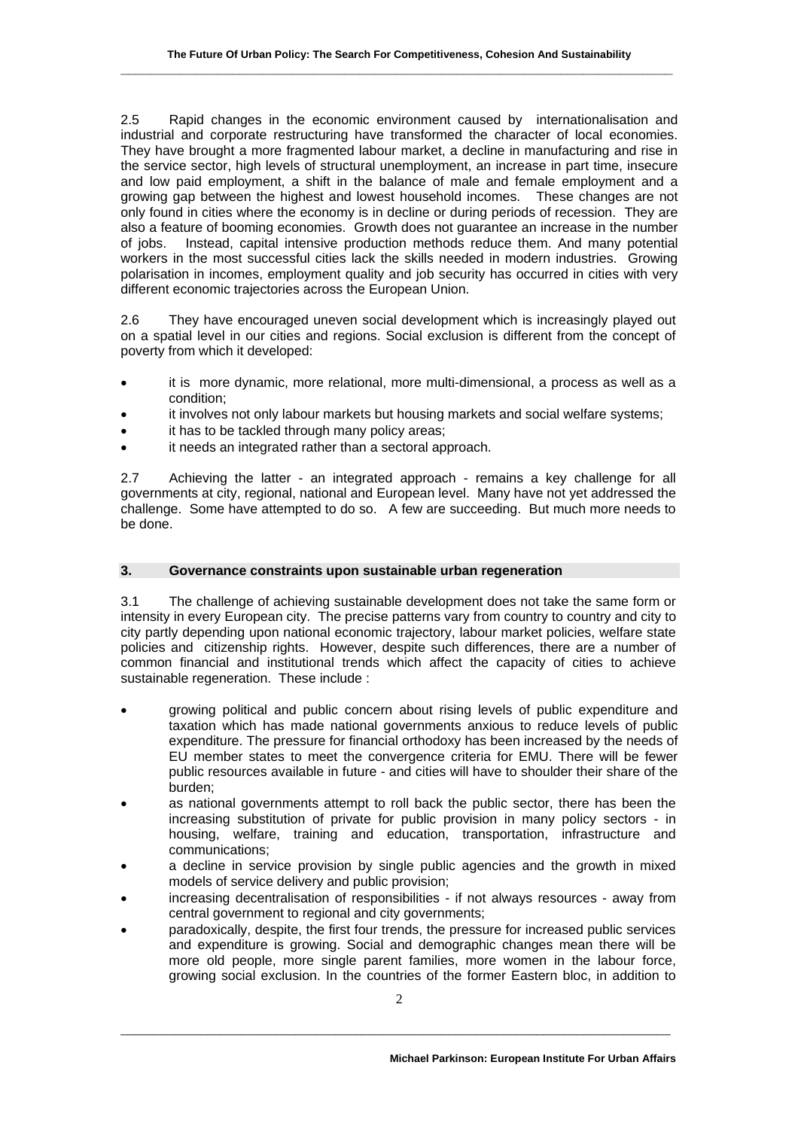2.5 Rapid changes in the economic environment caused by internationalisation and industrial and corporate restructuring have transformed the character of local economies. They have brought a more fragmented labour market, a decline in manufacturing and rise in the service sector, high levels of structural unemployment, an increase in part time, insecure and low paid employment, a shift in the balance of male and female employment and a growing gap between the highest and lowest household incomes. These changes are not only found in cities where the economy is in decline or during periods of recession. They are also a feature of booming economies. Growth does not guarantee an increase in the number of jobs. Instead, capital intensive production methods reduce them. And many potential workers in the most successful cities lack the skills needed in modern industries. Growing polarisation in incomes, employment quality and job security has occurred in cities with very different economic trajectories across the European Union.

2.6 They have encouraged uneven social development which is increasingly played out on a spatial level in our cities and regions. Social exclusion is different from the concept of poverty from which it developed:

- it is more dynamic, more relational, more multi-dimensional, a process as well as a condition;
- it involves not only labour markets but housing markets and social welfare systems;
- it has to be tackled through many policy areas;
- it needs an integrated rather than a sectoral approach.

2.7 Achieving the latter - an integrated approach - remains a key challenge for all governments at city, regional, national and European level. Many have not yet addressed the challenge. Some have attempted to do so. A few are succeeding. But much more needs to be done.

## **3. Governance constraints upon sustainable urban regeneration**

3.1 The challenge of achieving sustainable development does not take the same form or intensity in every European city. The precise patterns vary from country to country and city to city partly depending upon national economic trajectory, labour market policies, welfare state policies and citizenship rights. However, despite such differences, there are a number of common financial and institutional trends which affect the capacity of cities to achieve sustainable regeneration. These include :

- growing political and public concern about rising levels of public expenditure and taxation which has made national governments anxious to reduce levels of public expenditure. The pressure for financial orthodoxy has been increased by the needs of EU member states to meet the convergence criteria for EMU. There will be fewer public resources available in future - and cities will have to shoulder their share of the burden;
- as national governments attempt to roll back the public sector, there has been the increasing substitution of private for public provision in many policy sectors - in housing, welfare, training and education, transportation, infrastructure and communications;
- a decline in service provision by single public agencies and the growth in mixed models of service delivery and public provision;
- increasing decentralisation of responsibilities if not always resources away from central government to regional and city governments;
- paradoxically, despite, the first four trends, the pressure for increased public services and expenditure is growing. Social and demographic changes mean there will be more old people, more single parent families, more women in the labour force, growing social exclusion. In the countries of the former Eastern bloc, in addition to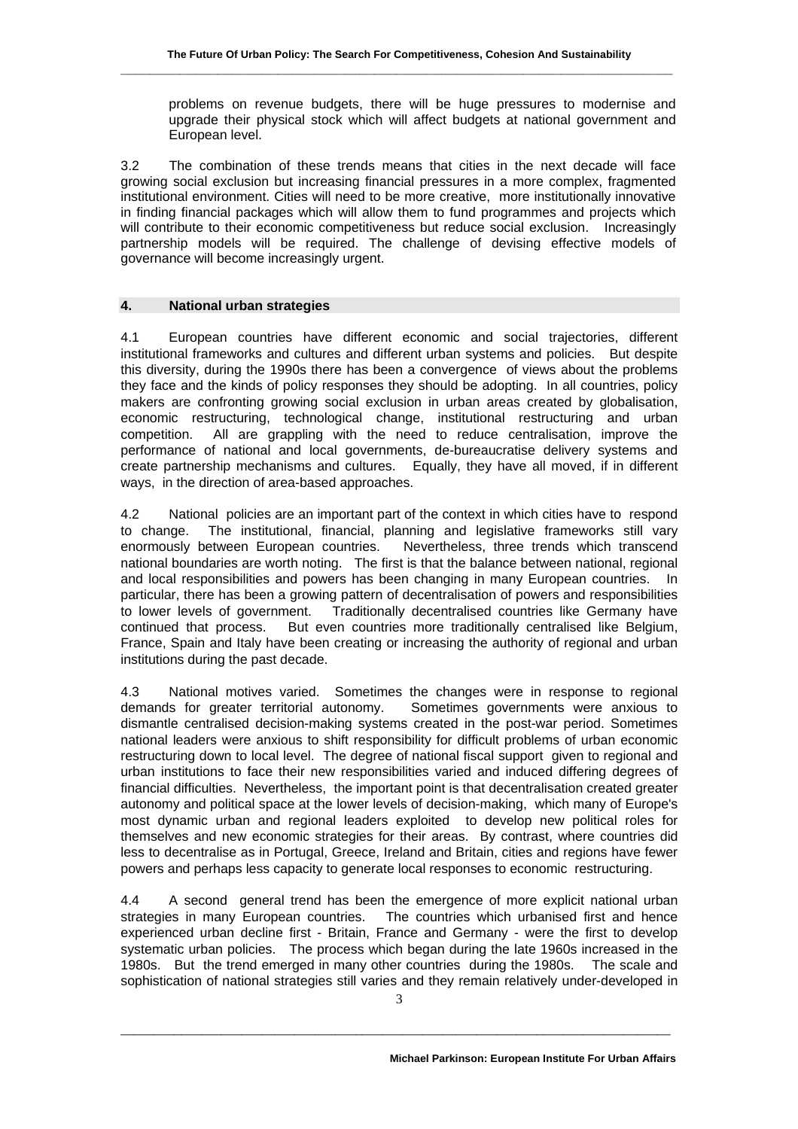problems on revenue budgets, there will be huge pressures to modernise and upgrade their physical stock which will affect budgets at national government and European level.

3.2 The combination of these trends means that cities in the next decade will face growing social exclusion but increasing financial pressures in a more complex, fragmented institutional environment. Cities will need to be more creative, more institutionally innovative in finding financial packages which will allow them to fund programmes and projects which will contribute to their economic competitiveness but reduce social exclusion. Increasingly partnership models will be required. The challenge of devising effective models of governance will become increasingly urgent.

## **4. National urban strategies**

4.1 European countries have different economic and social trajectories, different institutional frameworks and cultures and different urban systems and policies. But despite this diversity, during the 1990s there has been a convergence of views about the problems they face and the kinds of policy responses they should be adopting. In all countries, policy makers are confronting growing social exclusion in urban areas created by globalisation, economic restructuring, technological change, institutional restructuring and urban competition. All are grappling with the need to reduce centralisation, improve the performance of national and local governments, de-bureaucratise delivery systems and create partnership mechanisms and cultures. Equally, they have all moved, if in different ways, in the direction of area-based approaches.

4.2 National policies are an important part of the context in which cities have to respond to change. The institutional, financial, planning and legislative frameworks still vary enormously between European countries. Nevertheless, three trends which transcend national boundaries are worth noting. The first is that the balance between national, regional and local responsibilities and powers has been changing in many European countries. In particular, there has been a growing pattern of decentralisation of powers and responsibilities to lower levels of government. Traditionally decentralised countries like Germany have continued that process. But even countries more traditionally centralised like Belgium, France, Spain and Italy have been creating or increasing the authority of regional and urban institutions during the past decade.

4.3 National motives varied. Sometimes the changes were in response to regional demands for greater territorial autonomy. Sometimes governments were anxious to dismantle centralised decision-making systems created in the post-war period. Sometimes national leaders were anxious to shift responsibility for difficult problems of urban economic restructuring down to local level. The degree of national fiscal support given to regional and urban institutions to face their new responsibilities varied and induced differing degrees of financial difficulties. Nevertheless, the important point is that decentralisation created greater autonomy and political space at the lower levels of decision-making, which many of Europe's most dynamic urban and regional leaders exploited to develop new political roles for themselves and new economic strategies for their areas. By contrast, where countries did less to decentralise as in Portugal, Greece, Ireland and Britain, cities and regions have fewer powers and perhaps less capacity to generate local responses to economic restructuring.

4.4 A second general trend has been the emergence of more explicit national urban strategies in many European countries. The countries which urbanised first and hence experienced urban decline first - Britain, France and Germany - were the first to develop systematic urban policies. The process which began during the late 1960s increased in the 1980s. But the trend emerged in many other countries during the 1980s. The scale and sophistication of national strategies still varies and they remain relatively under-developed in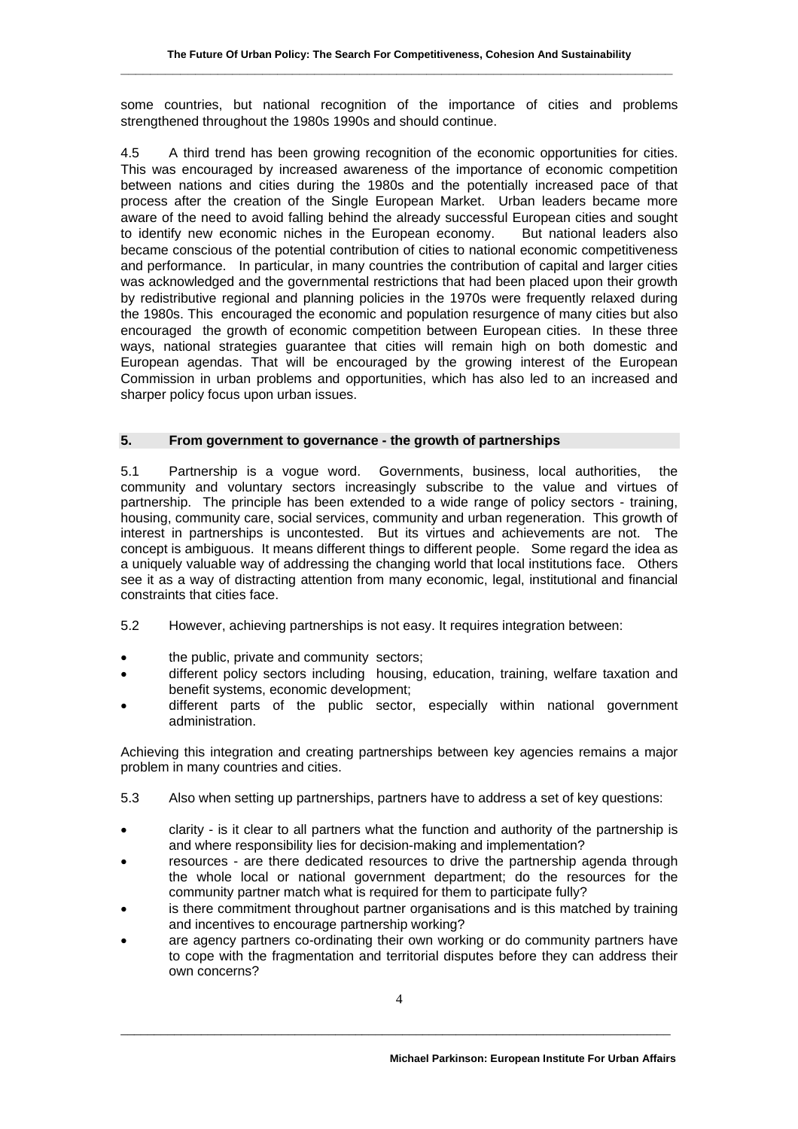some countries, but national recognition of the importance of cities and problems strengthened throughout the 1980s 1990s and should continue.

4.5 A third trend has been growing recognition of the economic opportunities for cities. This was encouraged by increased awareness of the importance of economic competition between nations and cities during the 1980s and the potentially increased pace of that process after the creation of the Single European Market. Urban leaders became more aware of the need to avoid falling behind the already successful European cities and sought to identify new economic niches in the European economy. But national leaders also became conscious of the potential contribution of cities to national economic competitiveness and performance. In particular, in many countries the contribution of capital and larger cities was acknowledged and the governmental restrictions that had been placed upon their growth by redistributive regional and planning policies in the 1970s were frequently relaxed during the 1980s. This encouraged the economic and population resurgence of many cities but also encouraged the growth of economic competition between European cities. In these three ways, national strategies guarantee that cities will remain high on both domestic and European agendas. That will be encouraged by the growing interest of the European Commission in urban problems and opportunities, which has also led to an increased and sharper policy focus upon urban issues.

## **5. From government to governance - the growth of partnerships**

5.1 Partnership is a vogue word. Governments, business, local authorities, the community and voluntary sectors increasingly subscribe to the value and virtues of partnership. The principle has been extended to a wide range of policy sectors - training, housing, community care, social services, community and urban regeneration. This growth of interest in partnerships is uncontested. But its virtues and achievements are not. The concept is ambiguous. It means different things to different people. Some regard the idea as a uniquely valuable way of addressing the changing world that local institutions face. Others see it as a way of distracting attention from many economic, legal, institutional and financial constraints that cities face.

- 5.2 However, achieving partnerships is not easy. It requires integration between:
- the public, private and community sectors;
- different policy sectors including housing, education, training, welfare taxation and benefit systems, economic development;
- different parts of the public sector, especially within national government administration.

Achieving this integration and creating partnerships between key agencies remains a major problem in many countries and cities.

- 5.3 Also when setting up partnerships, partners have to address a set of key questions:
- clarity is it clear to all partners what the function and authority of the partnership is and where responsibility lies for decision-making and implementation?
- resources are there dedicated resources to drive the partnership agenda through the whole local or national government department; do the resources for the community partner match what is required for them to participate fully?
- is there commitment throughout partner organisations and is this matched by training and incentives to encourage partnership working?
- are agency partners co-ordinating their own working or do community partners have to cope with the fragmentation and territorial disputes before they can address their own concerns?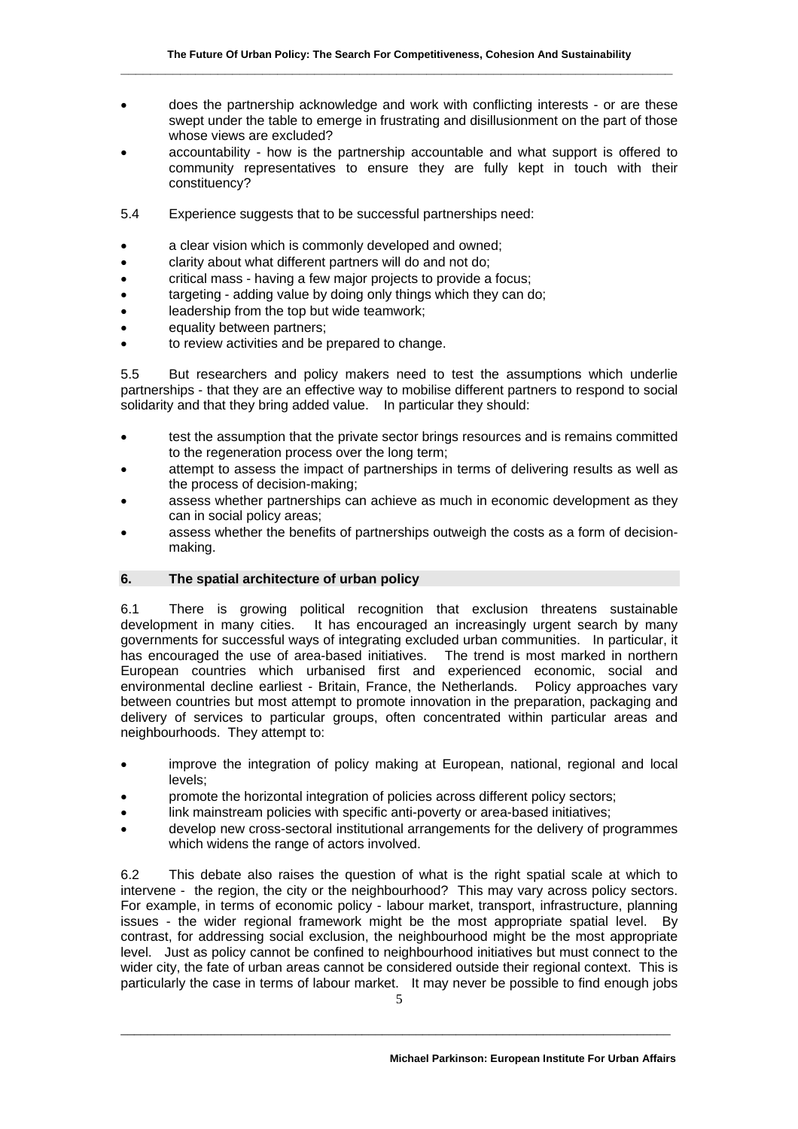- does the partnership acknowledge and work with conflicting interests or are these swept under the table to emerge in frustrating and disillusionment on the part of those whose views are excluded?
- accountability how is the partnership accountable and what support is offered to community representatives to ensure they are fully kept in touch with their constituency?
- 5.4 Experience suggests that to be successful partnerships need:
- a clear vision which is commonly developed and owned;
- clarity about what different partners will do and not do;
- critical mass having a few major projects to provide a focus;
- targeting adding value by doing only things which they can do;
- leadership from the top but wide teamwork;
- equality between partners:
- to review activities and be prepared to change.

5.5 But researchers and policy makers need to test the assumptions which underlie partnerships - that they are an effective way to mobilise different partners to respond to social solidarity and that they bring added value. In particular they should:

- test the assumption that the private sector brings resources and is remains committed to the regeneration process over the long term;
- attempt to assess the impact of partnerships in terms of delivering results as well as the process of decision-making;
- assess whether partnerships can achieve as much in economic development as they can in social policy areas;
- assess whether the benefits of partnerships outweigh the costs as a form of decisionmaking.

## **6. The spatial architecture of urban policy**

6.1 There is growing political recognition that exclusion threatens sustainable development in many cities. It has encouraged an increasingly urgent search by many governments for successful ways of integrating excluded urban communities. In particular, it<br>has encouraged the use of area-based initiatives. The trend is most marked in northern has encouraged the use of area-based initiatives. European countries which urbanised first and experienced economic, social and environmental decline earliest - Britain, France, the Netherlands. Policy approaches vary between countries but most attempt to promote innovation in the preparation, packaging and delivery of services to particular groups, often concentrated within particular areas and neighbourhoods. They attempt to:

- improve the integration of policy making at European, national, regional and local levels;
- promote the horizontal integration of policies across different policy sectors;
- link mainstream policies with specific anti-poverty or area-based initiatives;
- develop new cross-sectoral institutional arrangements for the delivery of programmes which widens the range of actors involved.

6.2 This debate also raises the question of what is the right spatial scale at which to intervene - the region, the city or the neighbourhood? This may vary across policy sectors. For example, in terms of economic policy - labour market, transport, infrastructure, planning issues - the wider regional framework might be the most appropriate spatial level. By contrast, for addressing social exclusion, the neighbourhood might be the most appropriate level. Just as policy cannot be confined to neighbourhood initiatives but must connect to the wider city, the fate of urban areas cannot be considered outside their regional context. This is particularly the case in terms of labour market. It may never be possible to find enough jobs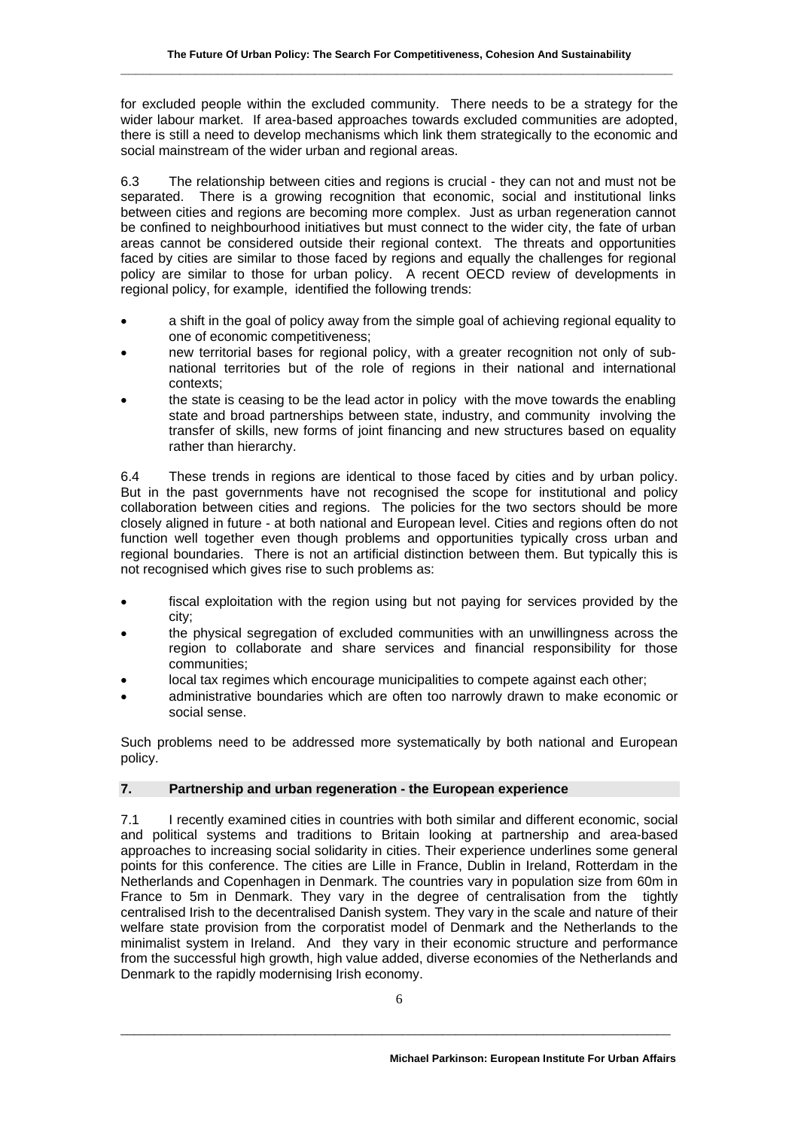for excluded people within the excluded community. There needs to be a strategy for the wider labour market. If area-based approaches towards excluded communities are adopted, there is still a need to develop mechanisms which link them strategically to the economic and social mainstream of the wider urban and regional areas.

6.3 The relationship between cities and regions is crucial - they can not and must not be separated. There is a growing recognition that economic, social and institutional links between cities and regions are becoming more complex. Just as urban regeneration cannot be confined to neighbourhood initiatives but must connect to the wider city, the fate of urban areas cannot be considered outside their regional context. The threats and opportunities faced by cities are similar to those faced by regions and equally the challenges for regional policy are similar to those for urban policy. A recent OECD review of developments in regional policy, for example, identified the following trends:

- a shift in the goal of policy away from the simple goal of achieving regional equality to one of economic competitiveness;
- new territorial bases for regional policy, with a greater recognition not only of subnational territories but of the role of regions in their national and international contexts;
- the state is ceasing to be the lead actor in policy with the move towards the enabling state and broad partnerships between state, industry, and community involving the transfer of skills, new forms of joint financing and new structures based on equality rather than hierarchy.

6.4 These trends in regions are identical to those faced by cities and by urban policy. But in the past governments have not recognised the scope for institutional and policy collaboration between cities and regions. The policies for the two sectors should be more closely aligned in future - at both national and European level. Cities and regions often do not function well together even though problems and opportunities typically cross urban and regional boundaries. There is not an artificial distinction between them. But typically this is not recognised which gives rise to such problems as:

- fiscal exploitation with the region using but not paying for services provided by the city;
- the physical segregation of excluded communities with an unwillingness across the region to collaborate and share services and financial responsibility for those communities;
- local tax regimes which encourage municipalities to compete against each other;
- administrative boundaries which are often too narrowly drawn to make economic or social sense.

Such problems need to be addressed more systematically by both national and European policy.

## **7. Partnership and urban regeneration - the European experience**

7.1 I recently examined cities in countries with both similar and different economic, social and political systems and traditions to Britain looking at partnership and area-based approaches to increasing social solidarity in cities. Their experience underlines some general points for this conference. The cities are Lille in France, Dublin in Ireland, Rotterdam in the Netherlands and Copenhagen in Denmark. The countries vary in population size from 60m in France to 5m in Denmark. They vary in the degree of centralisation from the tightly centralised Irish to the decentralised Danish system. They vary in the scale and nature of their welfare state provision from the corporatist model of Denmark and the Netherlands to the minimalist system in Ireland. And they vary in their economic structure and performance from the successful high growth, high value added, diverse economies of the Netherlands and Denmark to the rapidly modernising Irish economy.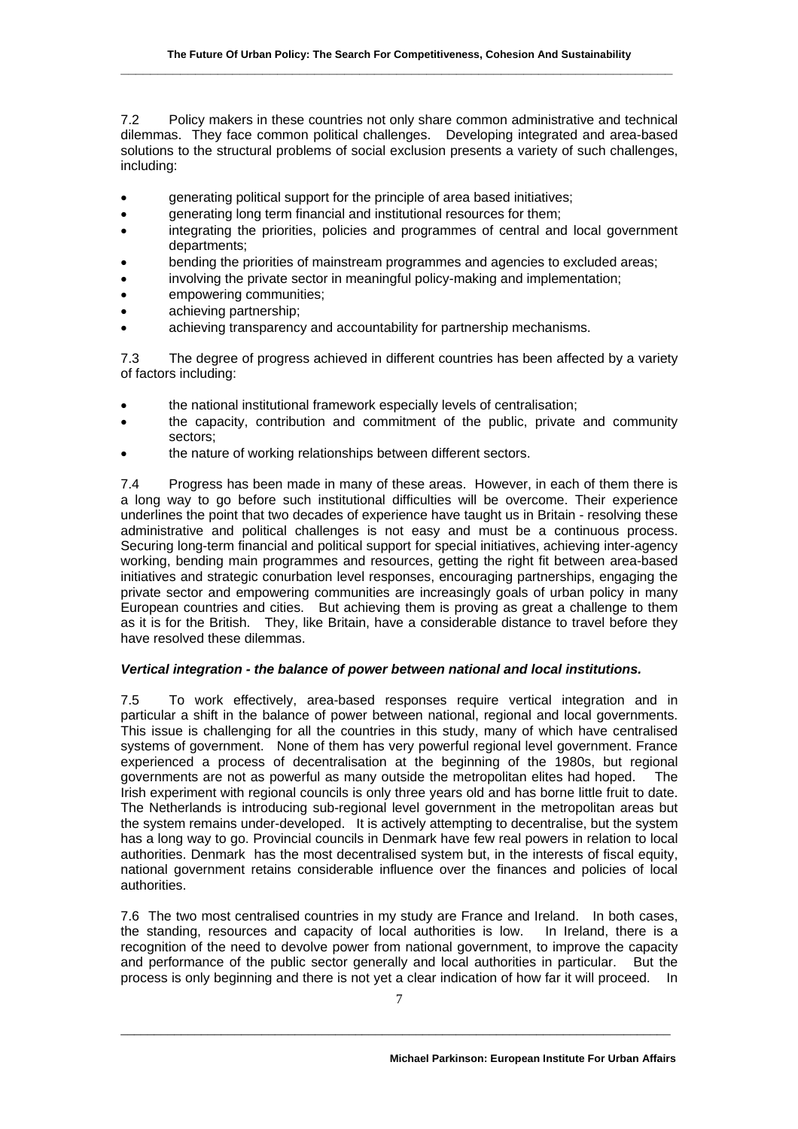7.2 Policy makers in these countries not only share common administrative and technical dilemmas. They face common political challenges. Developing integrated and area-based solutions to the structural problems of social exclusion presents a variety of such challenges, including:

- generating political support for the principle of area based initiatives;
- generating long term financial and institutional resources for them;
- integrating the priorities, policies and programmes of central and local government departments;
- bending the priorities of mainstream programmes and agencies to excluded areas;
- involving the private sector in meaningful policy-making and implementation;
- empowering communities;
- achieving partnership;
- achieving transparency and accountability for partnership mechanisms.

7.3 The degree of progress achieved in different countries has been affected by a variety of factors including:

- the national institutional framework especially levels of centralisation;
- the capacity, contribution and commitment of the public, private and community sectors;
- the nature of working relationships between different sectors.

7.4 Progress has been made in many of these areas. However, in each of them there is a long way to go before such institutional difficulties will be overcome. Their experience underlines the point that two decades of experience have taught us in Britain - resolving these administrative and political challenges is not easy and must be a continuous process. Securing long-term financial and political support for special initiatives, achieving inter-agency working, bending main programmes and resources, getting the right fit between area-based initiatives and strategic conurbation level responses, encouraging partnerships, engaging the private sector and empowering communities are increasingly goals of urban policy in many European countries and cities. But achieving them is proving as great a challenge to them as it is for the British. They, like Britain, have a considerable distance to travel before they have resolved these dilemmas.

## *Vertical integration - the balance of power between national and local institutions.*

7.5 To work effectively, area-based responses require vertical integration and in particular a shift in the balance of power between national, regional and local governments. This issue is challenging for all the countries in this study, many of which have centralised systems of government. None of them has very powerful regional level government. France experienced a process of decentralisation at the beginning of the 1980s, but regional governments are not as powerful as many outside the metropolitan elites had hoped. The Irish experiment with regional councils is only three years old and has borne little fruit to date. The Netherlands is introducing sub-regional level government in the metropolitan areas but the system remains under-developed. It is actively attempting to decentralise, but the system has a long way to go. Provincial councils in Denmark have few real powers in relation to local authorities. Denmark has the most decentralised system but, in the interests of fiscal equity, national government retains considerable influence over the finances and policies of local authorities.

7.6 The two most centralised countries in my study are France and Ireland. In both cases, the standing, resources and capacity of local authorities is low. In Ireland, there is a recognition of the need to devolve power from national government, to improve the capacity and performance of the public sector generally and local authorities in particular. But the process is only beginning and there is not yet a clear indication of how far it will proceed. In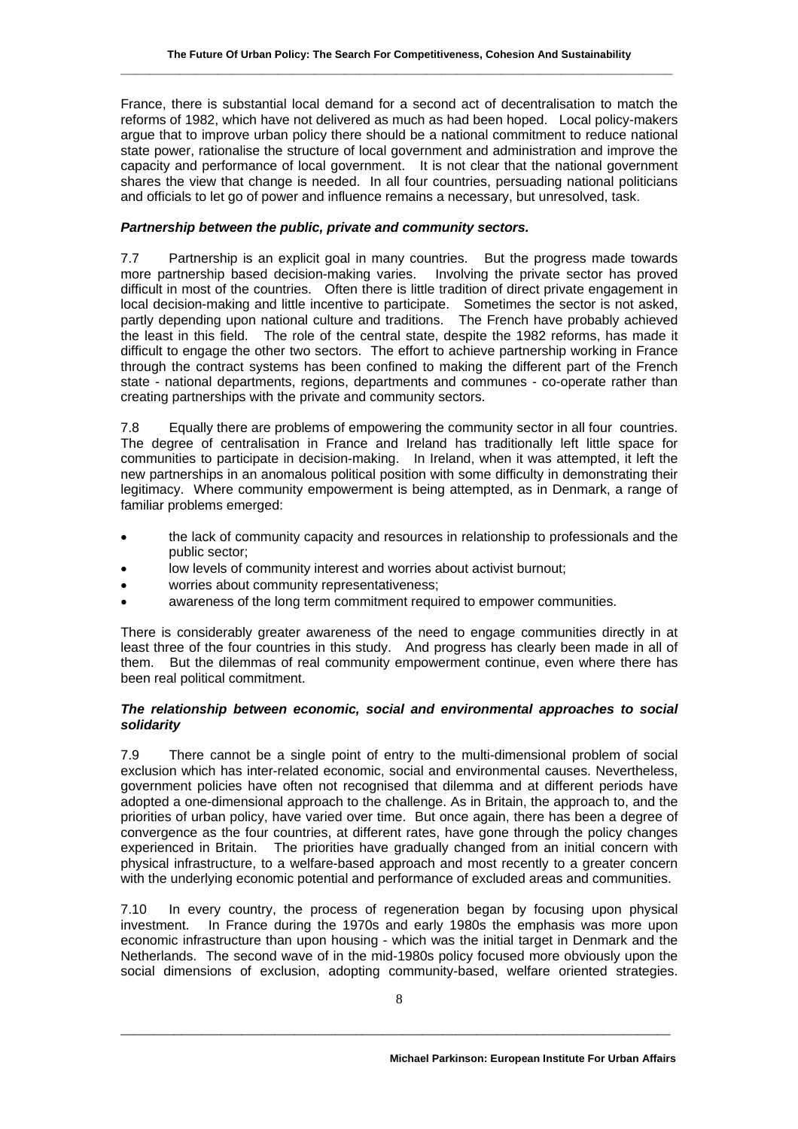France, there is substantial local demand for a second act of decentralisation to match the reforms of 1982, which have not delivered as much as had been hoped. Local policy-makers argue that to improve urban policy there should be a national commitment to reduce national state power, rationalise the structure of local government and administration and improve the capacity and performance of local government. It is not clear that the national government shares the view that change is needed. In all four countries, persuading national politicians and officials to let go of power and influence remains a necessary, but unresolved, task.

## *Partnership between the public, private and community sectors.*

7.7 Partnership is an explicit goal in many countries. But the progress made towards more partnership based decision-making varies. Involving the private sector has proved difficult in most of the countries. Often there is little tradition of direct private engagement in local decision-making and little incentive to participate. Sometimes the sector is not asked, partly depending upon national culture and traditions. The French have probably achieved the least in this field. The role of the central state, despite the 1982 reforms, has made it difficult to engage the other two sectors. The effort to achieve partnership working in France through the contract systems has been confined to making the different part of the French state - national departments, regions, departments and communes - co-operate rather than creating partnerships with the private and community sectors.

7.8 Equally there are problems of empowering the community sector in all four countries. The degree of centralisation in France and Ireland has traditionally left little space for communities to participate in decision-making. In Ireland, when it was attempted, it left the new partnerships in an anomalous political position with some difficulty in demonstrating their legitimacy. Where community empowerment is being attempted, as in Denmark, a range of familiar problems emerged:

- the lack of community capacity and resources in relationship to professionals and the public sector;
- low levels of community interest and worries about activist burnout;
- worries about community representativeness:
- awareness of the long term commitment required to empower communities.

There is considerably greater awareness of the need to engage communities directly in at least three of the four countries in this study. And progress has clearly been made in all of them. But the dilemmas of real community empowerment continue, even where there has been real political commitment.

### *The relationship between economic, social and environmental approaches to social solidarity*

7.9 There cannot be a single point of entry to the multi-dimensional problem of social exclusion which has inter-related economic, social and environmental causes. Nevertheless, government policies have often not recognised that dilemma and at different periods have adopted a one-dimensional approach to the challenge. As in Britain, the approach to, and the priorities of urban policy, have varied over time. But once again, there has been a degree of convergence as the four countries, at different rates, have gone through the policy changes experienced in Britain. The priorities have gradually changed from an initial concern with physical infrastructure, to a welfare-based approach and most recently to a greater concern with the underlying economic potential and performance of excluded areas and communities.

7.10 In every country, the process of regeneration began by focusing upon physical investment. In France during the 1970s and early 1980s the emphasis was more upon economic infrastructure than upon housing - which was the initial target in Denmark and the Netherlands. The second wave of in the mid-1980s policy focused more obviously upon the social dimensions of exclusion, adopting community-based, welfare oriented strategies.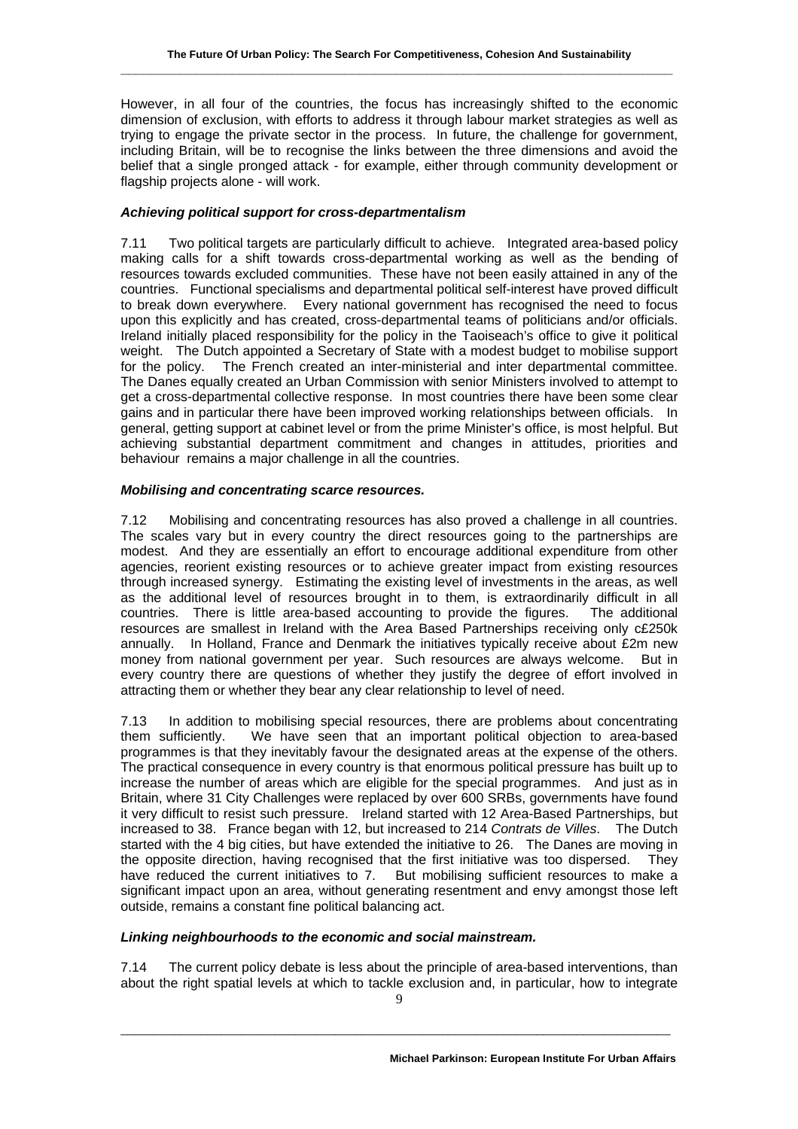However, in all four of the countries, the focus has increasingly shifted to the economic dimension of exclusion, with efforts to address it through labour market strategies as well as trying to engage the private sector in the process. In future, the challenge for government, including Britain, will be to recognise the links between the three dimensions and avoid the belief that a single pronged attack - for example, either through community development or flagship projects alone - will work.

# *Achieving political support for cross-departmentalism*

7.11 Two political targets are particularly difficult to achieve. Integrated area-based policy making calls for a shift towards cross-departmental working as well as the bending of resources towards excluded communities. These have not been easily attained in any of the countries. Functional specialisms and departmental political self-interest have proved difficult to break down everywhere. Every national government has recognised the need to focus upon this explicitly and has created, cross-departmental teams of politicians and/or officials. Ireland initially placed responsibility for the policy in the Taoiseach's office to give it political weight. The Dutch appointed a Secretary of State with a modest budget to mobilise support for the policy. The French created an inter-ministerial and inter departmental committee. The Danes equally created an Urban Commission with senior Ministers involved to attempt to get a cross-departmental collective response. In most countries there have been some clear gains and in particular there have been improved working relationships between officials. In general, getting support at cabinet level or from the prime Minister's office, is most helpful. But achieving substantial department commitment and changes in attitudes, priorities and behaviour remains a major challenge in all the countries.

# *Mobilising and concentrating scarce resources.*

7.12 Mobilising and concentrating resources has also proved a challenge in all countries. The scales vary but in every country the direct resources going to the partnerships are modest. And they are essentially an effort to encourage additional expenditure from other agencies, reorient existing resources or to achieve greater impact from existing resources through increased synergy. Estimating the existing level of investments in the areas, as well as the additional level of resources brought in to them, is extraordinarily difficult in all countries. There is little area-based accounting to provide the figures. The additional resources are smallest in Ireland with the Area Based Partnerships receiving only c£250k annually. In Holland, France and Denmark the initiatives typically receive about £2m new money from national government per year. Such resources are always welcome. But in every country there are questions of whether they justify the degree of effort involved in attracting them or whether they bear any clear relationship to level of need.

7.13 In addition to mobilising special resources, there are problems about concentrating them sufficiently. We have seen that an important political objection to area-based programmes is that they inevitably favour the designated areas at the expense of the others. The practical consequence in every country is that enormous political pressure has built up to increase the number of areas which are eligible for the special programmes. And just as in Britain, where 31 City Challenges were replaced by over 600 SRBs, governments have found it very difficult to resist such pressure. Ireland started with 12 Area-Based Partnerships, but increased to 38. France began with 12, but increased to 214 *Contrats de Villes*. The Dutch started with the 4 big cities, but have extended the initiative to 26. The Danes are moving in the opposite direction, having recognised that the first initiative was too dispersed. They have reduced the current initiatives to 7. But mobilising sufficient resources to make a significant impact upon an area, without generating resentment and envy amongst those left outside, remains a constant fine political balancing act.

# *Linking neighbourhoods to the economic and social mainstream.*

7.14 The current policy debate is less about the principle of area-based interventions, than about the right spatial levels at which to tackle exclusion and, in particular, how to integrate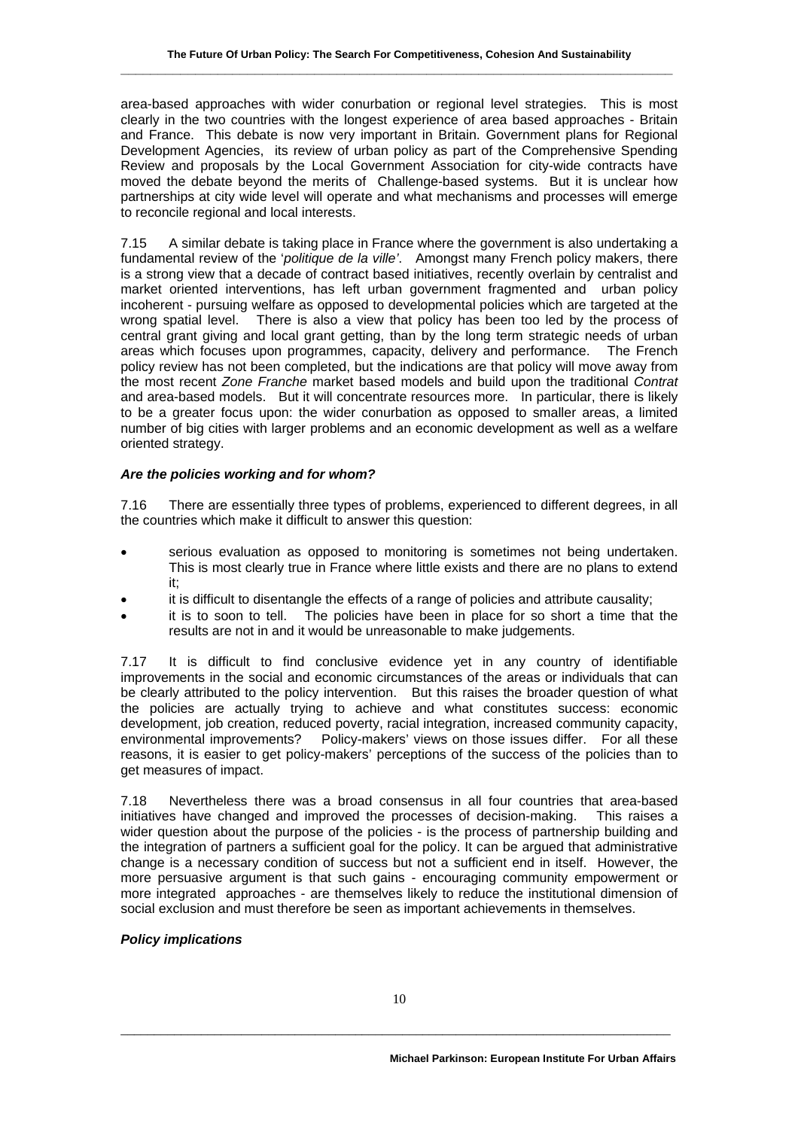area-based approaches with wider conurbation or regional level strategies. This is most clearly in the two countries with the longest experience of area based approaches - Britain and France. This debate is now very important in Britain. Government plans for Regional Development Agencies, its review of urban policy as part of the Comprehensive Spending Review and proposals by the Local Government Association for city-wide contracts have moved the debate beyond the merits of Challenge-based systems. But it is unclear how partnerships at city wide level will operate and what mechanisms and processes will emerge to reconcile regional and local interests.

7.15 A similar debate is taking place in France where the government is also undertaking a fundamental review of the '*politique de la ville'*. Amongst many French policy makers, there is a strong view that a decade of contract based initiatives, recently overlain by centralist and market oriented interventions, has left urban government fragmented and urban policy incoherent - pursuing welfare as opposed to developmental policies which are targeted at the wrong spatial level. There is also a view that policy has been too led by the process of central grant giving and local grant getting, than by the long term strategic needs of urban areas which focuses upon programmes, capacity, delivery and performance. The French policy review has not been completed, but the indications are that policy will move away from the most recent *Zone Franche* market based models and build upon the traditional *Contrat* and area-based models. But it will concentrate resources more. In particular, there is likely to be a greater focus upon: the wider conurbation as opposed to smaller areas, a limited number of big cities with larger problems and an economic development as well as a welfare oriented strategy.

#### *Are the policies working and for whom?*

7.16 There are essentially three types of problems, experienced to different degrees, in all the countries which make it difficult to answer this question:

- serious evaluation as opposed to monitoring is sometimes not being undertaken. This is most clearly true in France where little exists and there are no plans to extend it;
- it is difficult to disentangle the effects of a range of policies and attribute causality;
- it is to soon to tell. The policies have been in place for so short a time that the results are not in and it would be unreasonable to make judgements.

7.17 It is difficult to find conclusive evidence yet in any country of identifiable improvements in the social and economic circumstances of the areas or individuals that can be clearly attributed to the policy intervention. But this raises the broader question of what the policies are actually trying to achieve and what constitutes success: economic development, job creation, reduced poverty, racial integration, increased community capacity, environmental improvements? Policy-makers' views on those issues differ. For all these reasons, it is easier to get policy-makers' perceptions of the success of the policies than to get measures of impact.

7.18 Nevertheless there was a broad consensus in all four countries that area-based initiatives have changed and improved the processes of decision-making. This raises a wider question about the purpose of the policies - is the process of partnership building and the integration of partners a sufficient goal for the policy. It can be argued that administrative change is a necessary condition of success but not a sufficient end in itself. However, the more persuasive argument is that such gains - encouraging community empowerment or more integrated approaches - are themselves likely to reduce the institutional dimension of social exclusion and must therefore be seen as important achievements in themselves.

## *Policy implications*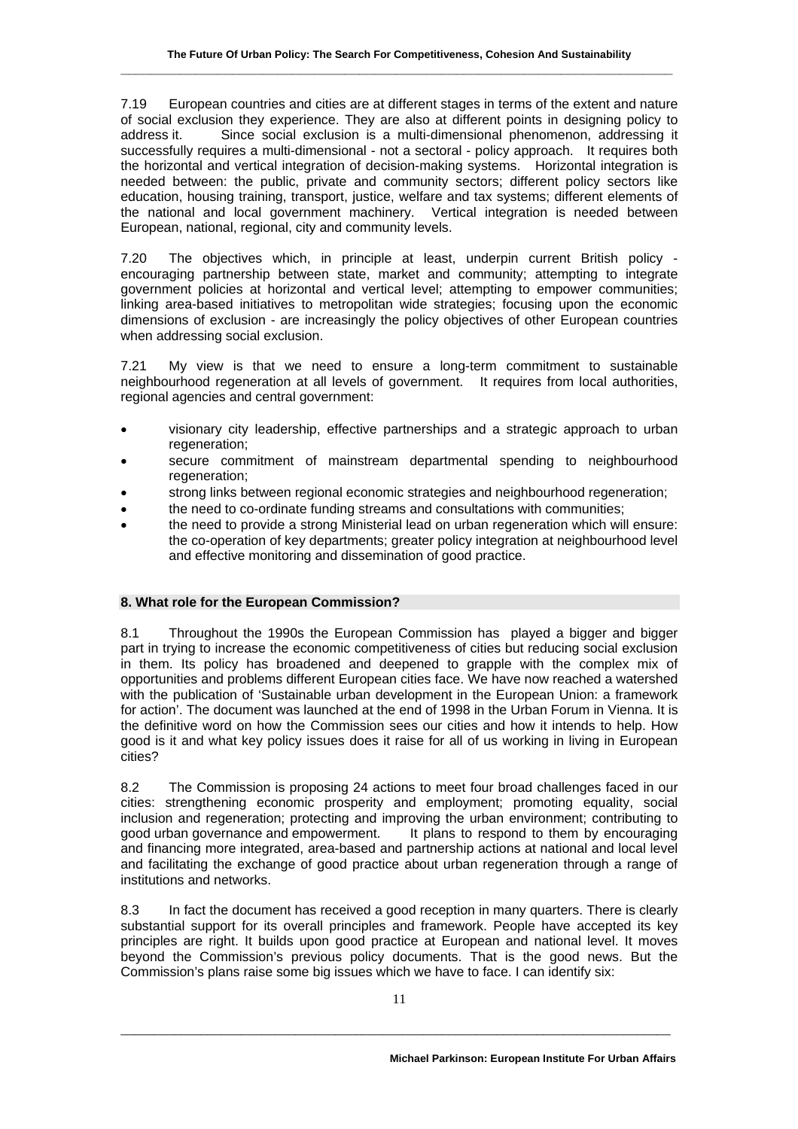7.19 European countries and cities are at different stages in terms of the extent and nature of social exclusion they experience. They are also at different points in designing policy to address it. Since social exclusion is a multi-dimensional phenomenon, addressing it successfully requires a multi-dimensional - not a sectoral - policy approach. It requires both the horizontal and vertical integration of decision-making systems. Horizontal integration is needed between: the public, private and community sectors; different policy sectors like education, housing training, transport, justice, welfare and tax systems; different elements of the national and local government machinery. Vertical integration is needed between European, national, regional, city and community levels.

7.20 The objectives which, in principle at least, underpin current British policy encouraging partnership between state, market and community; attempting to integrate government policies at horizontal and vertical level; attempting to empower communities; linking area-based initiatives to metropolitan wide strategies; focusing upon the economic dimensions of exclusion - are increasingly the policy objectives of other European countries when addressing social exclusion.

7.21 My view is that we need to ensure a long-term commitment to sustainable neighbourhood regeneration at all levels of government. It requires from local authorities, regional agencies and central government:

- visionary city leadership, effective partnerships and a strategic approach to urban regeneration:
- secure commitment of mainstream departmental spending to neighbourhood regeneration;
- strong links between regional economic strategies and neighbourhood regeneration;
- the need to co-ordinate funding streams and consultations with communities;
- the need to provide a strong Ministerial lead on urban regeneration which will ensure: the co-operation of key departments; greater policy integration at neighbourhood level and effective monitoring and dissemination of good practice.

## **8. What role for the European Commission?**

8.1 Throughout the 1990s the European Commission has played a bigger and bigger part in trying to increase the economic competitiveness of cities but reducing social exclusion in them. Its policy has broadened and deepened to grapple with the complex mix of opportunities and problems different European cities face. We have now reached a watershed with the publication of 'Sustainable urban development in the European Union: a framework for action'. The document was launched at the end of 1998 in the Urban Forum in Vienna. It is the definitive word on how the Commission sees our cities and how it intends to help. How good is it and what key policy issues does it raise for all of us working in living in European cities?

8.2 The Commission is proposing 24 actions to meet four broad challenges faced in our cities: strengthening economic prosperity and employment; promoting equality, social inclusion and regeneration; protecting and improving the urban environment; contributing to good urban governance and empowerment. It plans to respond to them by encouraging and financing more integrated, area-based and partnership actions at national and local level and facilitating the exchange of good practice about urban regeneration through a range of institutions and networks.

8.3 In fact the document has received a good reception in many quarters. There is clearly substantial support for its overall principles and framework. People have accepted its key principles are right. It builds upon good practice at European and national level. It moves beyond the Commission's previous policy documents. That is the good news. But the Commission's plans raise some big issues which we have to face. I can identify six: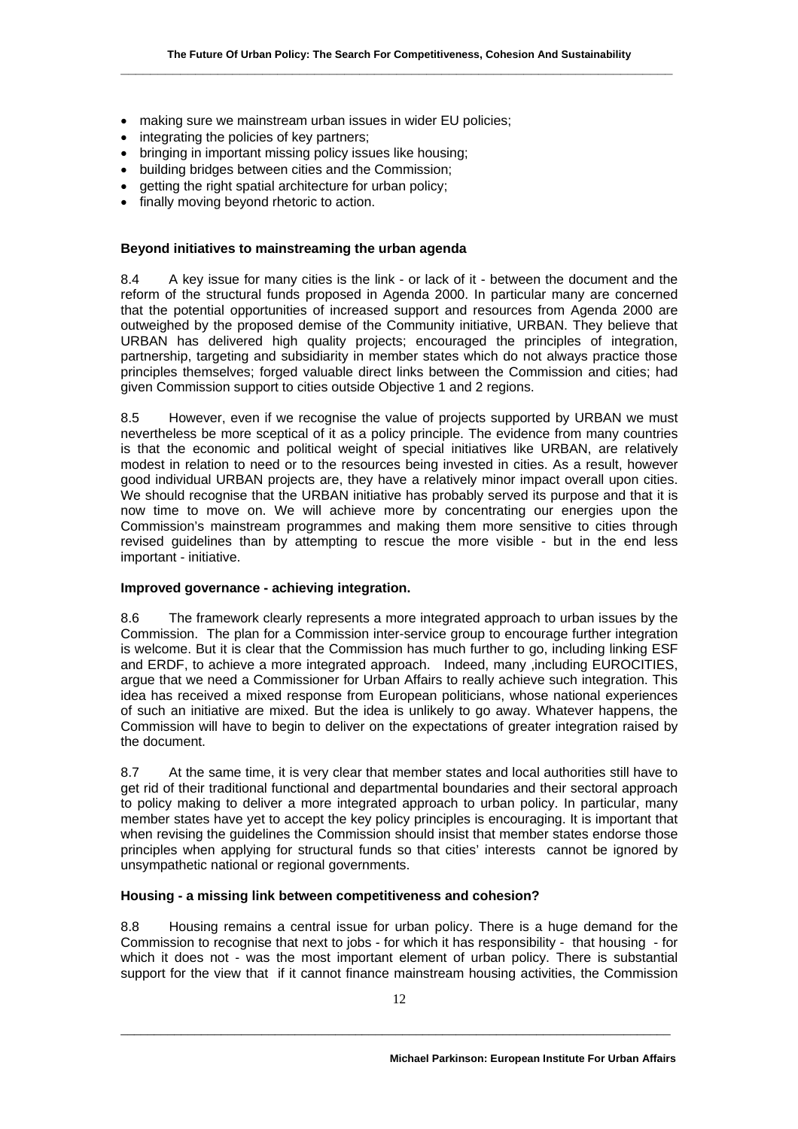- making sure we mainstream urban issues in wider EU policies;
- integrating the policies of key partners;
- bringing in important missing policy issues like housing;
- building bridges between cities and the Commission;
- getting the right spatial architecture for urban policy;
- finally moving beyond rhetoric to action.

#### **Beyond initiatives to mainstreaming the urban agenda**

8.4 A key issue for many cities is the link - or lack of it - between the document and the reform of the structural funds proposed in Agenda 2000. In particular many are concerned that the potential opportunities of increased support and resources from Agenda 2000 are outweighed by the proposed demise of the Community initiative, URBAN. They believe that URBAN has delivered high quality projects; encouraged the principles of integration, partnership, targeting and subsidiarity in member states which do not always practice those principles themselves; forged valuable direct links between the Commission and cities; had given Commission support to cities outside Objective 1 and 2 regions.

8.5 However, even if we recognise the value of projects supported by URBAN we must nevertheless be more sceptical of it as a policy principle. The evidence from many countries is that the economic and political weight of special initiatives like URBAN, are relatively modest in relation to need or to the resources being invested in cities. As a result, however good individual URBAN projects are, they have a relatively minor impact overall upon cities. We should recognise that the URBAN initiative has probably served its purpose and that it is now time to move on. We will achieve more by concentrating our energies upon the Commission's mainstream programmes and making them more sensitive to cities through revised guidelines than by attempting to rescue the more visible - but in the end less important - initiative.

#### **Improved governance - achieving integration.**

8.6 The framework clearly represents a more integrated approach to urban issues by the Commission. The plan for a Commission inter-service group to encourage further integration is welcome. But it is clear that the Commission has much further to go, including linking ESF and ERDF, to achieve a more integrated approach. Indeed, many ,including EUROCITIES, argue that we need a Commissioner for Urban Affairs to really achieve such integration. This idea has received a mixed response from European politicians, whose national experiences of such an initiative are mixed. But the idea is unlikely to go away. Whatever happens, the Commission will have to begin to deliver on the expectations of greater integration raised by the document.

8.7 At the same time, it is very clear that member states and local authorities still have to get rid of their traditional functional and departmental boundaries and their sectoral approach to policy making to deliver a more integrated approach to urban policy. In particular, many member states have yet to accept the key policy principles is encouraging. It is important that when revising the guidelines the Commission should insist that member states endorse those principles when applying for structural funds so that cities' interests cannot be ignored by unsympathetic national or regional governments.

### **Housing - a missing link between competitiveness and cohesion?**

8.8 Housing remains a central issue for urban policy. There is a huge demand for the Commission to recognise that next to jobs - for which it has responsibility - that housing - for which it does not - was the most important element of urban policy. There is substantial support for the view that if it cannot finance mainstream housing activities, the Commission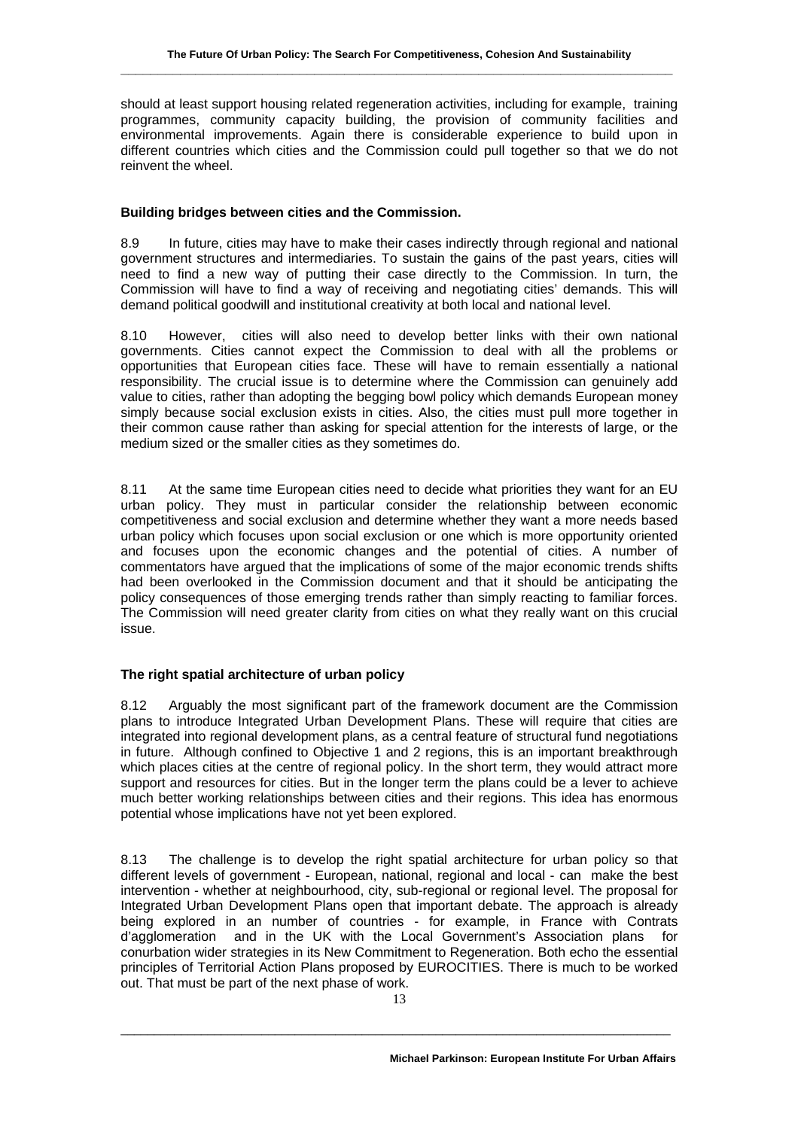should at least support housing related regeneration activities, including for example, training programmes, community capacity building, the provision of community facilities and environmental improvements. Again there is considerable experience to build upon in different countries which cities and the Commission could pull together so that we do not reinvent the wheel.

### **Building bridges between cities and the Commission.**

8.9 In future, cities may have to make their cases indirectly through regional and national government structures and intermediaries. To sustain the gains of the past years, cities will need to find a new way of putting their case directly to the Commission. In turn, the Commission will have to find a way of receiving and negotiating cities' demands. This will demand political goodwill and institutional creativity at both local and national level.

8.10 However, cities will also need to develop better links with their own national governments. Cities cannot expect the Commission to deal with all the problems or opportunities that European cities face. These will have to remain essentially a national responsibility. The crucial issue is to determine where the Commission can genuinely add value to cities, rather than adopting the begging bowl policy which demands European money simply because social exclusion exists in cities. Also, the cities must pull more together in their common cause rather than asking for special attention for the interests of large, or the medium sized or the smaller cities as they sometimes do.

8.11 At the same time European cities need to decide what priorities they want for an EU urban policy. They must in particular consider the relationship between economic competitiveness and social exclusion and determine whether they want a more needs based urban policy which focuses upon social exclusion or one which is more opportunity oriented and focuses upon the economic changes and the potential of cities. A number of commentators have argued that the implications of some of the major economic trends shifts had been overlooked in the Commission document and that it should be anticipating the policy consequences of those emerging trends rather than simply reacting to familiar forces. The Commission will need greater clarity from cities on what they really want on this crucial issue.

## **The right spatial architecture of urban policy**

8.12 Arguably the most significant part of the framework document are the Commission plans to introduce Integrated Urban Development Plans. These will require that cities are integrated into regional development plans, as a central feature of structural fund negotiations in future. Although confined to Objective 1 and 2 regions, this is an important breakthrough which places cities at the centre of regional policy. In the short term, they would attract more support and resources for cities. But in the longer term the plans could be a lever to achieve much better working relationships between cities and their regions. This idea has enormous potential whose implications have not yet been explored.

8.13 The challenge is to develop the right spatial architecture for urban policy so that different levels of government - European, national, regional and local - can make the best intervention - whether at neighbourhood, city, sub-regional or regional level. The proposal for Integrated Urban Development Plans open that important debate. The approach is already being explored in an number of countries - for example, in France with Contrats d'agglomeration and in the UK with the Local Government's Association plans for conurbation wider strategies in its New Commitment to Regeneration. Both echo the essential principles of Territorial Action Plans proposed by EUROCITIES. There is much to be worked out. That must be part of the next phase of work.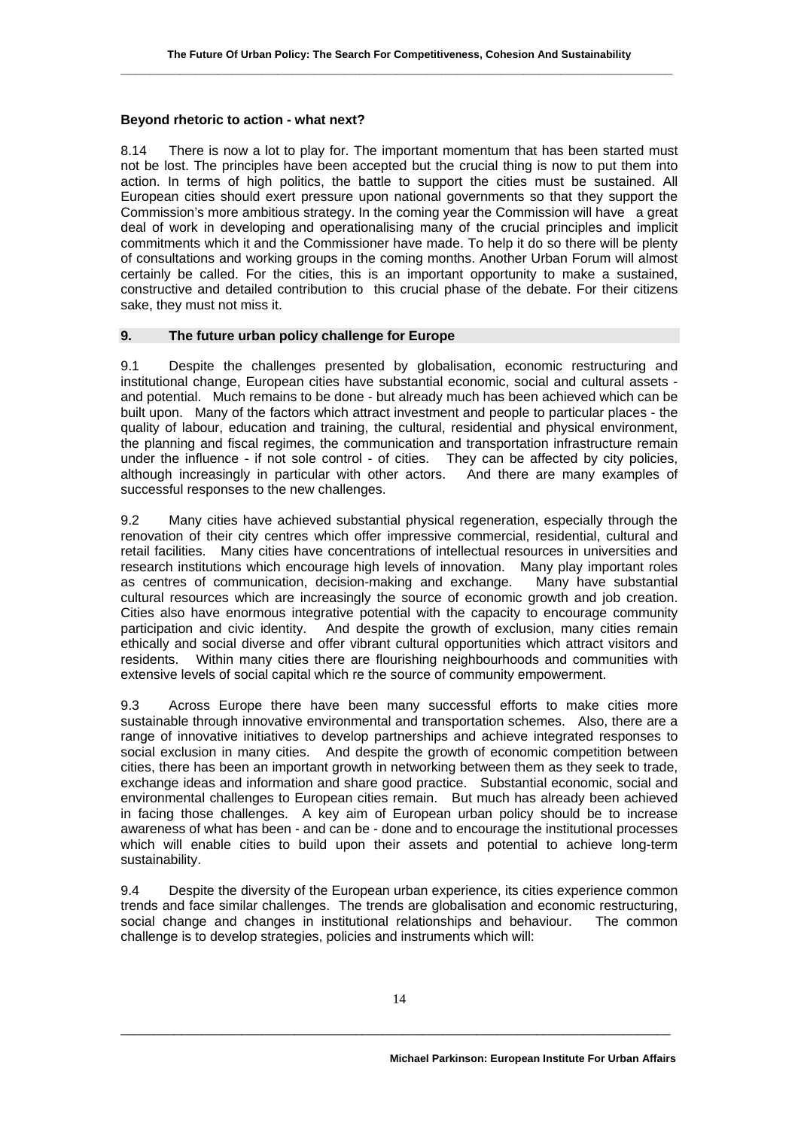### **Beyond rhetoric to action - what next?**

8.14 There is now a lot to play for. The important momentum that has been started must not be lost. The principles have been accepted but the crucial thing is now to put them into action. In terms of high politics, the battle to support the cities must be sustained. All European cities should exert pressure upon national governments so that they support the Commission's more ambitious strategy. In the coming year the Commission will have a great deal of work in developing and operationalising many of the crucial principles and implicit commitments which it and the Commissioner have made. To help it do so there will be plenty of consultations and working groups in the coming months. Another Urban Forum will almost certainly be called. For the cities, this is an important opportunity to make a sustained, constructive and detailed contribution to this crucial phase of the debate. For their citizens sake, they must not miss it.

## **9. The future urban policy challenge for Europe**

9.1 Despite the challenges presented by globalisation, economic restructuring and institutional change, European cities have substantial economic, social and cultural assets and potential. Much remains to be done - but already much has been achieved which can be built upon. Many of the factors which attract investment and people to particular places - the quality of labour, education and training, the cultural, residential and physical environment, the planning and fiscal regimes, the communication and transportation infrastructure remain under the influence - if not sole control - of cities. They can be affected by city policies, although increasingly in particular with other actors. And there are many examples of successful responses to the new challenges.

9.2 Many cities have achieved substantial physical regeneration, especially through the renovation of their city centres which offer impressive commercial, residential, cultural and retail facilities. Many cities have concentrations of intellectual resources in universities and research institutions which encourage high levels of innovation. Many play important roles as centres of communication, decision-making and exchange. Many have substantial cultural resources which are increasingly the source of economic growth and job creation. Cities also have enormous integrative potential with the capacity to encourage community participation and civic identity. And despite the growth of exclusion, many cities remain ethically and social diverse and offer vibrant cultural opportunities which attract visitors and residents. Within many cities there are flourishing neighbourhoods and communities with extensive levels of social capital which re the source of community empowerment.

9.3 Across Europe there have been many successful efforts to make cities more sustainable through innovative environmental and transportation schemes. Also, there are a range of innovative initiatives to develop partnerships and achieve integrated responses to social exclusion in many cities. And despite the growth of economic competition between cities, there has been an important growth in networking between them as they seek to trade, exchange ideas and information and share good practice. Substantial economic, social and environmental challenges to European cities remain. But much has already been achieved in facing those challenges. A key aim of European urban policy should be to increase awareness of what has been - and can be - done and to encourage the institutional processes which will enable cities to build upon their assets and potential to achieve long-term sustainability.

9.4 Despite the diversity of the European urban experience, its cities experience common trends and face similar challenges. The trends are globalisation and economic restructuring, social change and changes in institutional relationships and behaviour. The common challenge is to develop strategies, policies and instruments which will: